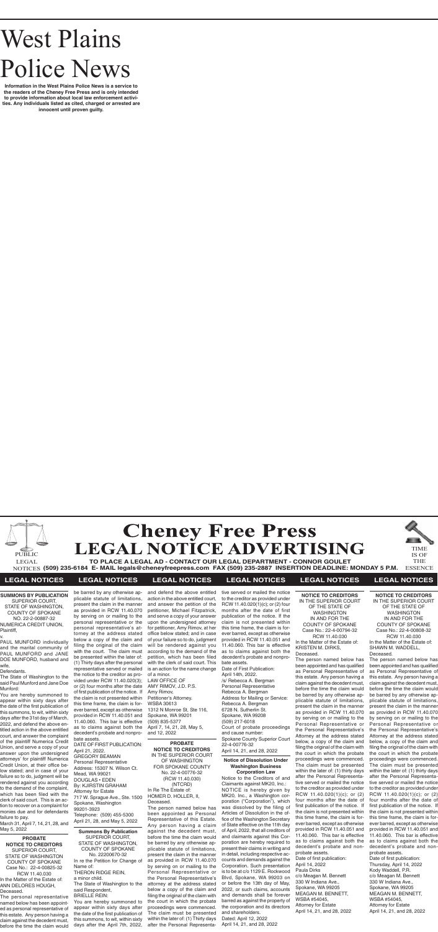# West Plains Police News

**Information in the West Plains Police News is a service to the readers of the Cheney Free Press and is only intended to provide information about local law enforcement activities. Any individuals listed as cited, charged or arrested are innocent until proven guilty.**





**TO PLACE A LEGAL AD - CONTACT OUR LEGAL DEPARTMENT - CONNOR GOULET (509) 235-6184 E- MAIL legals@cheneyfreepress.com FAX (509) 235-2887 INSERTION DEADLINE: MONDAY 5 P.M.** NOTICES ESSENCE

TIME IS OF THE



## **LEGAL NOTICES LEGAL NOTICES LEGAL NOTICES LEGAL NOTICES LEGAL NOTICES LEGAL NOTICES**

#### **SUMMONS BY PUBLICATION** SUPERIOR COURT, STATE OF WASHINGTON, COUNTY OF SPOKANE NO. 22-2-00887-32 NUMERICA CREDIT UNION, Plaintiff,

v.

PAUL MUNFORD individually and the marital community of PAUL MUNFORD and JANE DOE MUNFORD, husband and wife,

March 31, April 7, 14, 21, 28, and May 5, 2022 **Summons By Publication** 

#### Defendants.

The State of Washington to the said Paul Munford and Jane Doe Munford:

You are hereby summoned to appear within sixty days after the date of the first publication of this summons, to wit, within sixty days after the 31st day of March, 2022, and defend the above entitled action in the above entitled court, and answer the complaint of the plaintiff Numerica Credit Union, and serve a copy of your answer upon the undersigned attorneys' for plaintiff Numerica Credit Union, at their office below stated; and in case of your failure so to do, judgment will be rendered against you according to the demand of the complaint, which has been filed with the clerk of said court. This is an action to recover on a complaint for monies due and for defendants failure to pay.

> SUPERIOR COURT, STATE OF WASHINGTON, COUNTY OF SPOKANE No. 22200670-32 In re the Petition for Change of Name of: THERON RIDGE REIN, a minor child. The State of Washington to the said Respondent, BRIELLE REIN: You are hereby summoned to appear within sixty days after the date of the first publication of this summons, to wit, within sixty

days after the April 7th, 2022,

and defend the above entitled action in the above entitled court, and answer the petition of the petitioner, Michael Fitzpatrick, and serve a copy of your answer upon the undersigned attorney for petitioner, Amy Rimov, at her office below stated; and in case of your failure so to do, judgment will be rendered against you according to the demand of the petition, which has been filed with the clerk of said court. This is an action for the name change of a minor.

LAW OFFICE OF AMY RIMOV, J.D. P.S. Amy Rimov, Petitioner's Attorney. WSBA 30613 1312 N Monroe St, Ste 116, Spokane, WA 99201 (509) 835-5377 April 7, 14, 21, 28, May 5, and 12, 2022

#### **Notice of Dissolution Under Washington Business Corporation Law**

Notice to the Creditors of and Claimants against MK20, Inc.: NOTICE is hereby given by MK20, Inc., a Washington corporation ("Corporation"), which was dissolved by the filing of Articles of Dissolution in the office of the Washington Secretary of State effective on the 11th day of April, 2022, that all creditors of and claimants against this Corporation are hereby required to present their claims in writing and in detail, including respective accounts and demands against the Corporation. Such presentation is to be at c/o 1129 E. Rockwood Blvd, Spokane, WA 99203 on or before the 13th day of May, 2022, or such claims, accounts and demands shall be forever barred as against the property of the corporation and its directors and shareholders. Dated: April 12, 2022 April 14, 21, and 28, 2022

#### **PROBATE NOTICE TO CREDITORS** IN THE SUPERIOR COURT OF WASHINGTON FOR SPOKANE COUNTY No. 22-4-00776-32 (RCW 11.40.030) (NTCRD) In Re The Estate of: HOMER D. HOLLER, II, Deceased.

The person named below has been appointed as Personal Representative of this Estate. Any person having a claim against the decedent must, before the time the claim would be barred by any otherwise applicable statute of limitations, present the claim in the manner as provided in RCW 11.40.070 by serving on or mailing to the Personal Representative or the Personal Representative's attorney at the address stated below a copy of the claim and filing the original of the claim with the court in which the probate proceedings were commenced. The claim must be presented within the later of: (1) Thirty days after the Personal Representa-

tive served or mailed the notice to the creditor as provided under RCW 11.40.020(1)(c); or (2) four months after the date of first publication of the notice. If the claim is not presented within this time frame, the claim is forever barred, except as otherwise provided in RCW 11.40.051 and 11.40.060. This bar is effective as to claims against both the decedent's probate and nonprobate assets.

Date of First Publication: April 14th, 2022. /s/ Rebecca A. Bergman Personal Representative Rebecca A. Bergman Address for Mailing or Service: Rebecca A. Bergman 6728 N. Sutherlin St. Spokane, WA 99208 (509) 217-6018 Court of probate proceedings and cause number: Spokane County Superior Court 22-4-00776-32 April 14, 21, and 28, 2022

**NOTICE TO CREDITORS** IN THE SUPERIOR COURT OF THE STATE OF WASHINGTON IN AND FOR THE COUNTY OF SPOKANE Case No.: 22-4-00794-32 RCW 11.40.030 In the Matter of the Estate of: KRISTEN M. DIRKS, Deceased.

The person named below has been appointed and has qualified as Personal Representative of this estate. Any person having a claim against the decedent must, before the time the claim would be barred by any otherwise applicable statute of limitations, present the claim in the manner as provided in RCW 11.40.070 by serving on or mailing to the Personal Representative or the Personal Representative's Attorney at the address stated below, a copy of the claim and filing the original of the claim with the court in which the probate proceedings were commenced. The claim must be presented within the later of: (1) thirty days after the Personal Representative served or mailed the notice to the creditor as provided under RCW 11.40.020(1)(c); or (2) four months after the date of first publication of the notice. If the claim is not presented within this time frame, the claim is forever barred, except as otherwise provided in RCW 11.40.051 and 11.40.060. This bar is effective as to claims against both the decedent's probate and nonprobate assets. Date of first publication: April 14, 2022 Paula Dirks c/o Meagan M. Bennett 330 W Indiana Ave., Spokane, WA 99205 MEAGAN M. BENNETT, WSBA #54045, Attorney for Estate April 14, 21, and 28, 2022

**NOTICE TO CREDITORS** IN THE SUPERIOR COURT OF THE STATE OF WASHINGTON IN AND FOR THE COUNTY OF SPOKANE Case No.: 22-4-00808-32 RCW 11.40.030 In the Matter of the Estate of: SHAWN M. WADDELL,

Deceased.

The person named below has been appointed and has qualified as Personal Representative of this estate. Any person having a claim against the decedent must, before the time the claim would be barred by any otherwise applicable statute of limitations, present the claim in the manner as provided in RCW 11.40.070 by serving on or mailing to the Personal Representative or the Personal Representative's Attorney at the address stated below, a copy of the claim and filing the original of the claim with the court in which the probate proceedings were commenced. The claim must be presented within the later of: (1) thirty days after the Personal Representative served or mailed the notice to the creditor as provided under RCW 11.40.020(1)(c); or (2) four months after the date of first publication of the notice. If the claim is not presented within this time frame, the claim is forever barred, except as otherwise provided in RCW 11.40.051 and 11.40.060. This bar is effective as to claims against both the decedent's probate and nonprobate assets. Date of first publication: Thursday, April 14, 2022 Kody Waddell, P.R. c/o Meagan M. Bennett 330 W Indiana Ave.,

Spokane, WA 99205 MEAGAN M. BENNETT, WSBA #54045, Attorney for Estate April 14, 21, and 28, 2022

#### **PROBATE NOTICE TO CREDITORS** SUPERIOR COURT, STATE OF WASHINGTON COUNTY OF SPOKANE Case No.: 22-4-00825-32 RCW 11.40.030 In the Matter of the Estate of: ANN DELORES HOUGH, Deceased.

The personal representative named below has been appointed as personal representative of this estate. Any person having a claim against the decedent must, before the time the claim would

be barred by any otherwise applicable statute of limitations, present the claim in the manner as provided in RCW 11.40.070 by serving on or mailing to the personal representative or the personal representative's attorney at the address stated below a copy of the claim and filing the original of the claim with the court. The claim must be presented within the later of:

(1) Thirty days after the personal representative served or mailed the notice to the creditor as provided under RCW 11.40.020(3); or (2) four months after the date of first publication of the notice. If the claim is not presented within this time frame, the claim is forever barred, except as otherwise provided in RCW 11.40.051 and 11.40.060. This bar is effective as to claims against both the decedent's probate and nonprobate assets.

#### DATE OF FIRST PUBLICATION: April 21, 2022. GREGORY BEAMAN Personal Representative Address: 15307 N. Wilson Ct. Mead, WA 99021 DOUGLAS • EDEN By: KJIRSTIN GRAHAM Attorney for Estate

717 W. Sprague Ave., Ste. 1500 Spokane, Washington 99201-3923 Telephone: (509) 455-5300 April 21, 28, and May 5, 2022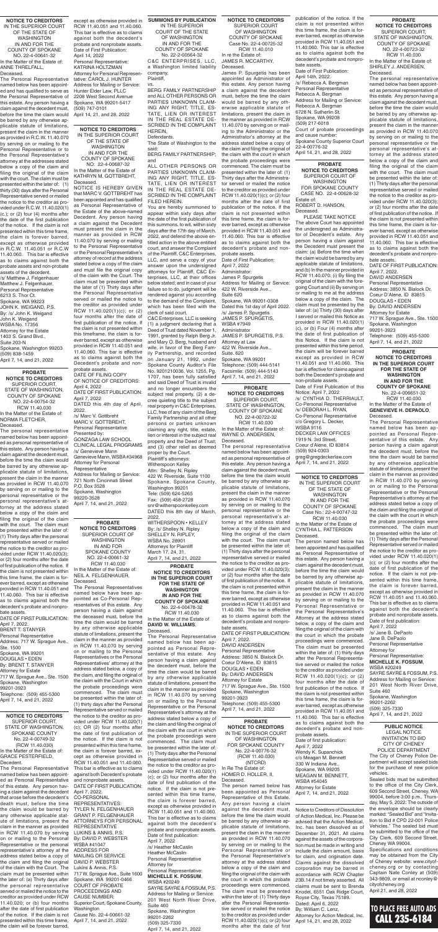#### **SUMMONS BY PUBLICATION** IN THE SUPERIOR COURT OF THE STATE OF WASHINGTON IN AND FOR THE COUNTY OF SPOKANE No. 22-2-00564-32

C&C ENTERPRISES, LLC, a Washington limited liability company, Plaintiff,

vs. BERG FAMILY PARTNERSHIP and ALL OTHER PERSONS OR PARTIES UNKNOWN CLAIM-ING ANY RIGHT, TITLE, ES-TATE, LIEN OR INTEREST IN THE REAL ESTATE DE-SCRIBED IN THE COMPLAINT HEREIN,

Defendants.

The State of Washington to the said: BERG FAMILY PARTNERSHIP;

and ALL OTHER PERSONS OR PARTIES UNKNOWN CLAIM-ING ANY RIGHT, TITLE, ES-TATE, LIEN OR INTEREST IN THE REAL ESTATE DE-SCRIBED IN THE COMPLAINT FILED HEREIN.

You are hereby summoned to appear within sixty days after the date of the first publication of this summons, to wit, within sixty days after the 17th day of March, 2022, and defend the above entitled action in the above entitled court, and answer the Complaint of the Plaintiff, C&C Enterprises, LLC, and serve a copy of your answer upon the undersigned attorneys for Plaintiff, C&C Enterprises, LLC, at their offices below stated; and in case of your failure so to do, judgment will be rendered against you according to the demand of the Complaint, which has been filed with the clerk of said court.

C&C Enterprises, LLC is seeking (1) a judgment declaring that a Deed of Trust dated November 1, 1991, granted by Ralph Berg Jr. and Mary O. Berg, husband and wife, in favor of the Berg Family Partnership, and recorded on January 21, 1992, under Spokane County Auditor's File No. 9201210036, Vol. 1255, Pg. 1707, has been fully satisfied and said Deed of Trust is invalid and no longer encumbers the subject real property, (2) a decree quieting title to the subject real property in C&C Enterprises, LLC, free of any claim of the Berg Family Partnership and all other persons or parties unknown claiming any right, title, estate, lien or interest in the subject real property and the Deed of Trust; and (3) other relief as deemed proper by the Court. Plaintiff's attorneys: Witherspoon Kelley Attn: Shelley N. Ripley 422 W. Riverside, Suite 1100 Spokane, Spokane County, Washington 99201 Tele: (509) 624-5265 Fax: (509) 458-2728 snr@witherspoonkelley.com DATED this 8th day of March, 2022. WITHERSPOON • KELLEY By: /s/ Shelley N. Ripley SHELLEY N. RIPLEY, WSBA No. 28901 Attorneys for Plaintiff

March 17, 24, 31, April 7, 14, and 21, 2022

WASHINGTON IN AND FOR THE COUNTY OF SPOKANE Case No.: 22-4-00747-32 RCW 11.40.030 In the Matter of the Estate of CYNTHIA L. PATTERSON

Deceased. The person named below has been appointed and has qualified as Personal Representative of this estate. Any person having a claim against the decedent must, before the time the claim would be barred by any otherwise applicable statute of limitations, present the claim in the manner as provided in RCW 11.40.070 by serving on or mailing to the Personal Representative or the Personal Representative's Attorney at the address stated below, a copy of the claim and filing the original of the claim with the court in which the probate proceedings were commenced. The claim must be presented within the later of: (1) thirty days after the Personal Representative served or mailed the notice to the creditor as provided under RCW 11.40.020(1)(c); or (2) four months after the date of first publication of the notice. If the claim is not presented within this time frame, the claim is forever barred, except as otherwise provided in RCW 11.40.051 and 11.40.060. This bar is effective as to claims against both the decedent's probate and nonprobate assets. Date of first publication: April 7, 2022 Wendy K. Supanchick c/o Meagan M. Bennett 330 W Indiana Ave., Spokane, WA 99205 MEAGAN M. BENNETT, WSBA #54045 Attorney for Estate April 7, 14, and 21, 2022

**NOTICE TO CREDITORS** IN THE SUPERIOR COURT OF THE STATE OF April 7, 14, and 21, 2022

#### **PROBATE**

**NOTICE TO CREDITORS** SUPERIOR COURT OF WASHINGTON FOR SPOKANE COUNTY CASE NO. 22-4-00628-32

Estate of: ROBERT D. HANSON,

Deceased. PLEASE TAKE NOTICE

The above Court has appointed the undersigned as Administrator of Decedent's estate. Any person having a claim against the Decedent must present the claim: (a) Before the time when the claim would be barred by any applicable statute of limitations, and (b) In the manner provided in RCW 11.40.070: (i) By filing the original of the claim with the foregoing Court and (ii) By serving on or mailing to me at the address below a copy of the claim. The claim must be presented by the later of: (a) Thirty (30) days after I served or mailed this Notice as provided in RCW 11.40.020(1) (c), or (b) Four (4) months after the date of first publication of this Notice. If the claim is not presented within this time period, the claim will be forever barred except as provided in RCW 11.40.051 and 11.40.060. This bar is effective for claims against both the Decedent's probate and non-probate assets. Date of First Publication of this Notice: April 7, 2022 /s/ CYNTHIA D. THERRIAULT, Co-Personal Representative /s/ DEBORAH L. RYAN, Co-Personal Representative c/o Gregory L. Decker, WSBA 9116 DECKER LAW OFFICES 1919 N. 3rd Street, Coeur d'Alene, ID 83814 (509) 924-0303 greg@gregdeckerlaw.com

#### **PROBATE NOTICE TO CREDITORS IN THE SUPERIOR COURT FOR THE STATE OF WASHINGTON IN AND FOR THE COUNTY OF SPOKANE** No. 22-4-00478-32 RCW 11.40.030 In the Matter of the Estate of **DAVID W. WILLIAMS**,

#### Deceased.

The Personal Representative named below has been appointed as Personal Representative of this estate. Any person having a claim against the decedent must, before the time the claim would be barred by any otherwise applicable statute of limitations, present the claim in the manner as provided in RCW 11.40.070 by serving on or mailing to the Personal Representative or the Personal Representative's attorney at the address stated below a copy of the claim and filing the original of the claim with the court in which the probate proceedings were commenced. The claim must be presented within the later of: (1) Thirty days after the Personal Representative served or mailed the notice to the creditor as provided under RCW 11.40.020(1) (c); or (2) four months after the date of first publication of the notice. If the claim is not presented within this time frame, the claim is forever barred, except as otherwise provided in RCW 11.40.051 and 11.40.060. This bar is effective as to claims against both the decedent's probate and nonprobate assets. Date of first publication: April 7, 2022 /s/ Heather McCaslin Heather McCaslin Personal Representative Attorney for Personal Representative: **MICHELLE K. FOSSUM**, WSBA #20249 SAYRE SAYRE & FOSSUM, P.S. Address for Mailing or Service: 201 West North River Drive, Suite 460 Spokane, Washington 99201-2262 (509) 325-7330 April 7, 14, and 21, 2022

### **PROBATE**

**NOTICE TO CREDITORS** SUPERIOR COURT, STATE OF WASHINGTON, COUNTY OF SPOKANE NO. 22-4-00722-32 RCW 11.40.030 In the Matter of the Estate of: WAYNE O. ANDERSEN, Deceased.

The personal representative named below has been appointed as personal representative of this estate. Any person having a claim against the decedent must, before the time the claim would be barred by any otherwise applicable statute of limitations, present the claim in the manner as provided in RCW 11.40.070 by serving on or mailing to the personal representative or the personal representative's attorney at the address stated below a copy of the claim and filing the original of the claim with the court. The claim must be presented within the later of: (1) Thirty days after the personal representative served or mailed the notice to the creditor as provided under RCW 11.40.020(3); or (2) four months after the date of first publication of the notice. If the claim is not presented within this time frame, the claim is forever barred, except as otherwise provided in RCW 11.40.051 and 11.40.060. This bar is effective as to claims against both the decedent's probate and nonprobate assets. DATE OF FIRST PUBLICATION: April 7, 2022. DAVID ANDERSEN Personal Representative Address: 3850 N. Blalock Dr. Coeur D'Alene, ID 83815 DOUGLAS • EDEN By: DAVID ANDERSEN Attorney for Estate 717 W. Sprague Ave., Ste. 1500 Spokane, Washington 99201-3923 Telephone: (509) 455-5300 April 7, 14, and 21, 2022

**NOTICE TO CREDITORS** SUPERIOR COURT OF WASHINGTON COUNTY OF SPOKANE Case No. 22-4-00725-32 RCW 11.40.010

In re the Estate of: JAMES R. MCCARTHY, Deceased.

James P. Spurgetis has been appointed as Administrator of this estate. Any person having a claim against the decedent must, before the time the claim would be barred by any otherwise applicable statute of limitations, present the claim in the manner as provided in RCW 11.40.070 by serving on or mailing to the Administrator or the Administrator's attorney at the address stated below a copy of the claim and filing the original of the claim with the court in which the probate proceedings were commenced. The claim must be presented within the later of: (1) Thirty days after the Administrator served or mailed the notice to the creditor as provided under RCW 11.40.020(1)(c); or (2) four months after the date of first publication of the notice. If the claim is not presented within this time frame, the claim is forever barred, except as otherwise provided in RCW 11.40.051 and 11.40.060. This bar is effective as to claims against both the decedent's probate and nonprobate assets. Date of First Publication: April 7, 2022 Administrator:

James P. Spurgetis Address for Mailing or Service: 422 W. Riverside Ave., Suite 620 Spokane, WA 99201-0308 Dated this 1st day of April 2022. /s/ James P. Spurgetis JAMES P. SPURGETIS, WSBA #7949 Administrator JAMES P. SPURGETIS, P.S. Attorney at Law 422 W. Riverside Ave., Suite. 620 Spokane, WA 99201 Telephone: (509) 444-5141 Facsimile: (509) 444-5143 April 7, 14, and 21, 2022

**NOTICE TO CREDITORS** SUPERIOR COURT, STATE OF WASHINGTON, SPOKANE COUNTY No. 22-4-00749-32 (RCW 11.40.030) In the Matter of the Estate of: GRACE PESTERFIELD, Decedent.

The Personal Representative named below has been appointed as Personal Representative of this estate. Any person having a claim against the decedent that arose before the decedent's death must, before the time the claim would be barred by any otherwise applicable statute of limitations, present the claim in the manner as provided in RCW 11.40.070 by serving on or mailing to the Personal Representative or the personal representative's attorney at the address stated below a copy of the claim and filing the original of the claim with the Court. The claim must be presented within the later of: (a) Thirty days after the personal representative served or mailed the notice to the creditor as provided under RCW 11.40.020; or (b) four months after the date of first publication of the notice. If the claim is not presented within this time frame, the claim will be forever barred,

#### **PROBATE NOTICE TO CREDITORS** IN THE SUPERIOR COURT OF WASHINGTON FOR SPOKANE COUNTY No. 22-4-00776-32 (RCW 11.40.030) (NTCRD)

In Re The Estate of: HOMER D. HOLLER, II, Deceased.

The person named below has been appointed as Personal Representative of this Estate. Any person having a claim against the decedent must, before the time the claim would be barred by any otherwise applicable statute of limitations, present the claim in the manner as provided in RCW 11.40.070 by serving on or mailing to the Personal Representative or the Personal Representative's attorney at the address stated below a copy of the claim and filing the original of the claim with the court in which the probate proceedings were commenced. The claim must be presented within the later of: (1) Thirty days after the Personal Representative served or mailed the notice to the creditor as provided under RCW 11.40.020(1)(c); or (2) four months after the date of first

#### **PROBATE**

**NOTICE TO CREDITORS IN THE SUPERIOR COURT FOR THE STATE OF WASHINGTON IN AND FOR THE COUNTY OF SPOKANE** No. 22-4-006651-32 RCW 11.40.030 In the Matter of the Estate of **GENEVIEVE H. DEPAOLO**,

Deceased. The Personal Representative named below has been appointed as Personal Representative of this estate. Any person having a claim against the decedent must, before the time the claim would be barred by any otherwise applicable statute of limitations, present the claim in the manner as provided in RCW 11.40.070 by serving on or mailing to the Personal Representative or the Personal Representative's attorney at the address stated below a copy of the claim and filing the original of the claim with the court in which the probate proceedings were commenced. The claim must be presented within the later of: (1) Thirty days after the Personal Representative served or mailed the notice to the creditor as provided under RCW 11.40.020(1) (c); or (2) four months after the date of first publication of the notice. If the claim is not presented within this time frame, the claim is forever barred, except as otherwise provided in RCW 11.40.051 and 11.40.060. This bar is effective as to claims against both the decedent's probate and nonprobate assets. Date of first publication: April 7, 2022 /s/ Jane B. DePaolo Jane B. DePaolo Personal Representative Attorney for Personal Representative: **MICHELLE K. FOSSUM**, WSBA #20249 SAYRE SAYRE & FOSSUM, P.S. Address for Mailing or Service: 201 West North River Drive, Suite 460 Spokane, Washington 99201-2262 (509) 325-7330 April 7, 14, and 21, 2022

**PROBATE NOTICE TO CREDITORS** SUPERIOR COURT OF WASHINGTON IN AND FOR

SPOKANE COUNTY NO. 22-4-00661-32 RCW 11.40.030 In the Matter of the Estate of: NEIL A. FELGENHAUER,

Deceased.

The Personal Representatives named below have been appointed as Co-Personal Representatives of this estate. Any person having a claim against the deceased must, before the time the claim would be barred by any otherwise applicable statute of limitations, present the claim in the manner as provided in RCW 11.40.070 by serving on or mailing to the Personal Representatives or the Personal Representatives' attorney at the address stated below, a copy of the claim, and filing the original of the claim with the Court in which the probate proceedings were commenced. The claim must be presented within the later of: (1) thirty days after the Personal Representative served or mailed the notice to the creditor as provided under RCW 11.40.020(1) (c); OR (2) four months after the date of first publication of the notice. If the claim is not presented within this time frame, the claim is forever barred, except as otherwise provided in RCW 11.40.051 and 11.40.060. This bar is effective as to claims against both Decedent's probate and nonprobate assets. DATE OF FIRST PUBLICATION: April 7, 2022. CO-PERSONAL REPRESENTATIVES: TYLER N. FELGENHAUER GRANT P. FELGENHAUER ATTORNEYS FOR PERSONAL REPRESENTATIVE LUKINS & ANNIS, P.S. By: DAVID P. WEBSTER WSBA #41047 ADDRESS FOR MAILING OR SERVICE DAVID P. WEBSTER Lukins & Annis, P.S. 717 W. Sprague Ave., Suite 1600 Spokane, WA 99201-0466 COURT OF PROBATE PROCEEDINGS AND CAUSE NUMBER: Superior Court, Spokane County, Washington Cause No. 22-4-00661-32 April 7, 14, and 21, 2022

**NOTICE TO CREDITORS** IN THE SUPERIOR COURT OF THE STATE OF WASHINGTON IN AND FOR THE COUNTY OF SPOKANE NO: 22-4-00687-32

In the Matter of the Estate of KATHRYN M. GOTTBREHT, Deceased.

NOTICE IS HEREBY GIVEN that MARC V. GOTTBREHT has been appointed and has qualified as Personal Representative of the Estate of the above-named Decedent. Any person having a claim against the Decedent must present the claim in the manner as provided in RCW 11.40.070 by serving or mailing to the Personal Representative or the Personal Representative's attorney of record at the address stated below a copy of the claim and must file the original copy of the claim with the Court. The claim must be presented within the later of (1) Thirty days after the Personal Representative served or mailed the notice to the creditor as provided under RCW 11.40.020(1)(c); or (2) four months after the date of first publication of the notice. If the claim is not presented within this timeframe, the claim is forever barred, except as otherwise provided in RCW 11.40.051 and 11.40.060. This bar is effective as to claims against both the Decedent's probate and nonprobate assets. DATE OF FILING COPY

OF NOTICE OF CREDITORS: April 4, 2022 DATE OF FIRST PUBLICATION: April 7, 2022 DATED this 4th day of April, 2022. /s/ Marc V. Gottbreht MARC V. GOTTBREHT, Personal Representative Presented by: GONZAGA LAW SCHOOL CLINICAL LEGAL PROGRAMS /s/ Genevieve Mann Genevieve Mann, WSBA #34968 Attorney for Personal **Representative** Address for Mailing or Service: 721 North Cincinnati Street P.O. Box 3528 Spokane, Washington 99220-3528 April 7, 14, and 21, 2022

#### **PROBATE NOTICE TO CREDITORS** SUPERIOR COURT, STATE OF WASHINGTON, COUNTY OF SPOKANE NO. 22-4-00723-32 RCW 11.40.030

In the Matter of the Estate of: SHIRLEY J. ANDERSEN, Deceased.

The personal representative named below has been appointed as personal representative of this estate. Any person having a claim against the decedent must, before the time the claim would be barred by any otherwise applicable statute of limitations, present the claim in the manner as provided in RCW 11.40.070 by serving on or mailing to the personal representative or the personal representative's attorney at the address stated below a copy of the claim and filing the original of the claim with the court. The claim must be presented within the later of: (1) Thirty days after the personal representative served or mailed the notice to the creditor as provided under RCW 11.40.020(3); or (2) four months after the date of first publication of the notice. If the claim is not presented within this time frame, the claim is forever barred, except as otherwise provided in RCW 11.40.051 and 11.40.060. This bar is effective as to claims against both the decedent's probate and nonprobate assets.

DATE OF FIRST PUBLICATION: April 7, 2022. DAVID ANDERSEN Personal Representative Address: 3850 N. Blalock Dr. Coeur D'Alene, ID 83815 DOUGLAS • EDEN By: DAVID ANDERSEN Attorney for Estate 717 W. Sprague Ave., Ste. 1500 Spokane, Washington 99201-3923 Telephone: (509) 455-5300 April 7, 14, and 21, 2022

#### **NOTICE TO CREDITORS** IN THE SUPERIOR COURT OF THE STATE OF WASHINGTON IN AND FOR THE COUNTY OF SPOKANE NO. 22-4-00641-32

In the Matter of the Estate of: ANNE THRELFALL, Deceased.

The Personal Representative named below has been appointed and has qualified to serve as the Personal Representative of this estate. Any person having a claim against the decedent must, before the time the claim would be barred by any otherwise applicable statute of limitations, present the claim in the manner as provided in R.C.W. 11.40.070 by serving on or mailing to the Personal Representative or to the Personal Representative's attorney at the addresses stated below a copy of the claim and filing the original of the claim with the court. The claim must be presented within the later of: (1) thirty (30) days after the Personal Representative served or mailed the notice to the creditor as provided under R.C.W. 11.40.020(1) (c.); or (2) four (4) months after the date of the first publication of the notice. If the claim is not presented within this time frame, the claim is forever barred, except as otherwise provided in R.C.W. 11.40.051 or R.C.W 11.40.060. This bar is effective as to claims against both the probate assets and non-probate

assets of the decedent. /s/ Matthew J. Felgenhauer Matthew J. Felgenhauer, Personal Representative 6213 S. Thor Ct. Spokane, WA 99223 JOHN K. WEIGAND, P.S. By: /s/ John K. Weigand John K. Weigand WSBA No. 17356 Attorney for the Estate 1403 S. Grand Blvd., Suite 203-N Spokane, Washington 99203 (509) 838-1459 April 7, 14, and 21, 2022

**PROBATE NOTICE TO CREDITORS** SUPERIOR COURT, STATE OF WASHINGTON, COUNTY OF SPOKANE NO. 22-4-00754-32 RCW 11.40.030 In the Matter of the Estate of: NORMA FLETCHER, Deceased.

The personal representative named below has been appointed as personal representative of this estate. Any person having a claim against the decedent must, before the time the claim would be barred by any otherwise applicable statute of limitations, present the claim in the manner as provided in RCW 11.40.070 by serving on or mailing to the personal representative or the personal representative's attorney at the address stated below a copy of the claim and filing the original of the claim with the court. The claim must be presented within the later of: (1) Thirty days after the personal representative served or mailed the notice to the creditor as provided under RCW 11.40.020(3); or (2) four months after the date of first publication of the notice. If the claim is not presented within this time frame, the claim is forever barred, except as otherwise provided in RCW 11.40.051 and 11.40.060. This bar is effective as to claims against both the decedent's probate and nonprobate assets.

DATE OF FIRST PUBLICATION: April 7, 2022. BRENT T. STANYER Personal Representative Address: 717 W. Sprague Ave., Ste. 1500 Spokane, WA 99201 DOUGLAS • EDEN By: BRENT T. STANYER Attorney for Estate 717 W. Sprague Ave., Ste. 1500 Spokane, Washington 99201-3923 Telephone: (509) 455-5300 April 7, 14, and 21, 2022

> Notice to Creditors of Dissolution of Action Medical, Inc. Please be advised that the Action Medical, Inc. has been dissolved as of December 31, 2021. All claims against the assets of the corporation must be made in writing and include the claim amount, basis for claim, and origination date. Claims against the dissolved corporation may be barred in accordance with RCW Chapter 23B.14 if not timely asserted. All claims must be sent to Brenda Knodel, 6551 Oak Ridge Court, Royse City, Texas 75189. Dated: April 6, 2022 By: William C. Lenz, Attorney for Action Medical, Inc. April 14, 21, and 28, 2022

except as otherwise provided in RCW 11.40.051 and 11.40.060. This bar is effective as to claims against both the decedent's probate and nonprobate assets. Date of First Publication: April 14, 2022 Personal Representative: KATRINA HOLTZMAN Attorney for Personal Representative: CAROL J. HUNTER Address for Mailing or Service: Hunter Elder Law, PLLC 2208 West Second Avenue Spokane, WA 99201-5417 (509) 747-0101 April 14, 21, and 28, 2022

publication of the notice. If the claim is not presented within this time frame, the claim is forever barred, except as otherwise provided in RCW 11.40.051 and 11.40.060. This bar is effective as to claims against both the decedent's probate and nonprobate assets. Date of First Publication: April 14th, 2022. /s/ Rebecca A. Bergman Personal Representative Rebecca A. Bergman Address for Mailing or Service: Rebecca A. Bergman 6728 N. Sutherlin St. Spokane, WA 99208

(509) 217-6018 Court of probate proceedings and cause number: Spokane County Superior Court

22-4-00776-32 April 14, 21, and 28, 2022

#### **PUBLIC NOTICE** LEGAL NOTICE INVITATION TO BID CITY OF CHENEY POLICE DEPARTMENT

The City of Cheney Police Department will accept sealed bids for the purchase of new police vehicles.

Sealed bids must be submitted to the office of the City Clerk, 609 Second Street, Cheney, WA 99004, before 3:00 p.m., Thursday, May 5, 2022. The outside of the envelope should be clearly marked: "Sealed Bid" and "Invitation to Bid # CPD 22-001 Police Vehicles." The sealed bid must be submitted to the office of the City Clerk, 609 Second Street, Cheney WA 99004.

Specifications and conditions may be obtained from the City of Cheney website: www.cityofcheney.org or by contacting Captain Nate Conley at (509) 343-9809, or email at nconley@ cityofcheney.org April 21, and 28, 2022

## **TO PLACE FREE AUTO ADS** CALL 235-6184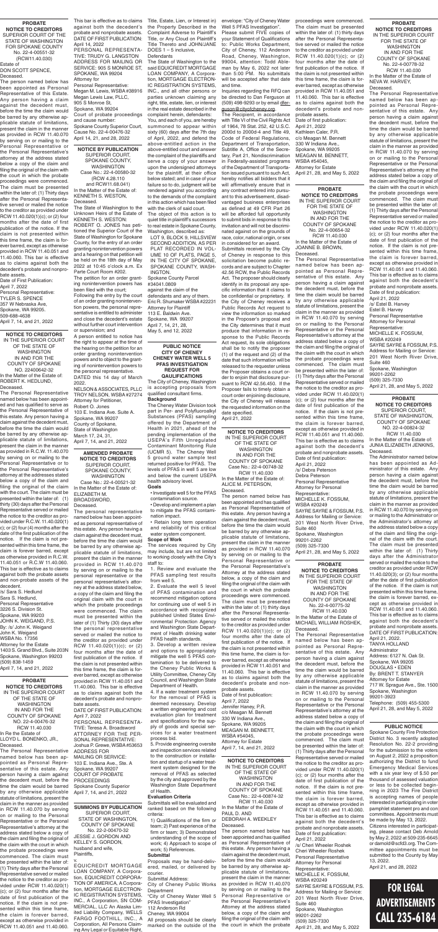# **FOR LEGAL ADVERTISEMENTS CALL 235-6184**

EQUICREDIT MORTGAGE LOAN COMPANY, A Corporation, EQUICREDIT CORPORA-TION OF AMERICA, A Corporation, MORTGAGE ELECTRON-IC REGISTRATION SYSTEMS, INC., A Corporation, SN COM-MERCIAL, LLC An Alaska Limited Liability Company, WELLS FARGO FOOTHILL, INC., A Corporation, All Persons Claiming Any Legal or Equitable Right,

#### **SUMMONS BY PUBLICATION** SUPERIOR COURT, STATE OF WASHINGTON, COUNTY OF SPOKANE No. 22-2-00470-32 JESSIE J. GORDON AND KELLEY S. GORDON, husband and wife, Plaintiffs, v.

**PROBATE NOTICE TO CREDITORS** IN THE SUPERIOR COURT OF THE STATE OF WASHINGTON IN AND FOR THE COUNTY OF SPOKANE NO. 22-4-00476-32 RCW 11.40.030 In Re the Estate of LLOYD L. BONENKO, JR., Deceased.

The Personal Representative named below has been appointed as Personal Representative of this estate. Any person having a claim against the decedent must, before the time the claim would be barred by any otherwise applicable statute of limitations, present the claim in the manner as provided in RCW 11.40.070 by serving on or mailing to the Personal Representative or the Personal Representative's attorney at the address stated below a copy of the claim and filing the original of the claim with the court in which the probate proceedings were commenced. The claim must be presented within the later of: (1) Thirty days after the Personal Representative served or mailed the notice to the creditor as provided under RCW 11.40.020(1) (c); or (2) four months after the date of first publication of the notice. If the claim is not presented within this time frame, the claim is forever barred, except as otherwise provided in RCW 11.40.051 and 11.40.060. **NOTICE BY PUBLICATION** SUPERIOR COURT, SPOKANE COUNTY, WASHINGTON Case No.: 22-4-00580-32 (RCW 4.28.110 and RCW11.68.041)

In the Matter of the Estate of: KENNETH S. WESTON, Deceased.

The State of Washington to the Unknown Heirs of the Estate of KENNETH S. WESTON: ROBERT O. JONES has petitioned the Superior Court of the State of Washington for Spokane County, for the entry of an order granting nonintervention powers and a hearing on that petition will be held on the 18th day of May 2022 at 10:45 o'clock a.m. Ex Parte Court Room #202.

The petition for an order granting nonintervention powers has been filed with the court;

Following the entry by the court of an order granting nonintervention powers, the personal representative is entitled to administer and close the decedent's estate without further court intervention or supervision; and

A person entitled to notice has the right to appear at the time of the hearing on the petition for an order granting nonintervention powers and to object to the granting of nonintervention powers to the personal representative. DATED this 14 day of March 2022.

NELSON & ASSOCIATES, PLLC TROY NELSON, WSBA #27274 Attorney for Petitioner, Robert O. Jones 103 E. Indiana Ave. Suite A. Spokane, WA 99207 County of Spokane, State of Washington March 17, 24, 31, April 7, 14, and 21, 2022

#### **PROBATE**

**NOTICE TO CREDITORS** SUPERIOR COURT OF THE STATE OF WASHINGTON FOR SPOKANE COUNTY No. 22-4-00551-32 (RCW11.40.030) Estate of

DON SCOTT SPENCE, Deceased.

The person named below has been appointed as Personal Representative of this Estate. Any person having a claim against the decedent must, before the time the claim would be barred by any otherwise applicable statute of limitations, present the claim in the manner as provided in RCW 11.40.070 by serving on or mailing to the Personal Representative or the Personal Representative's attorney at the address stated below a copy of the claim and filing the original of the claim with the court in which the probate proceedings were commenced. The claim must be presented within the later of: (1) Thirty days after the Personal Representative served or mailed the notice to the creditor as provided under RCW 11.40.020(1)(c); or (2) four months after the date of first publication of the notice. If the claim is not presented within this time frame, the claim is forever barred, except as otherwise provided in RCW 11.40.051 and 11.40.060. This bar is effective as to claims against both the decedent's probate and nonpro-

bate assets. Date of First Publication: April 7, 2022 Personal Representative: TYLER S. SPENCE 357 W Nebraska Ave, Spokane, WA 99205. 509-688-4638 April 7, 14, and 21, 2022

> **AMENDED PROBATE NOTICE TO CREDITORS** SUPERIOR COURT, SPOKANE COUNTY, WASHINGTON Case No.: 22-4-00521-32

In the Matter of the Estate of: ELIZABETH M. BROADSWORD, Deceased.

The personal representative named below has been appointed as personal representative of this estate. Any person having a claim against the decedent must, before the time the claim would be barred by any otherwise ap-

plicable statute of limitations, present the claim in the manner provided in RCW 11.40.070 by serving on or mailing to the personal representative or the personal representative's attorney at the address stated below, a copy of the claim and filing the original claim with the court in which the probate proceedings were commenced. The claim must be presented within the later of (1) Thirty (30) days after the personal representative served or mailed the notice to the creditor as provided under RCW 11.40.020(1)(c); or (2) four months after the date of first publication of the notice. If the claim is not presented within this time frame, the claim is forever barred, except as otherwise provided in RCW 11.40.051 and 11.40.060. This bar is effective as to claims against both the decedent's probate and nonprobate assets.

DATE OF FIRST PUBLICATION: April 7, 2022

PERSONAL REPRESENTA-TIVE: Teresa A. Broadsword ATTORNEY FOR THE PER-SONAL REPRESENTATIVE: Joshua P. Grewe, WSBA #53653 ADDRESS FOR MAILING OR SERVICE: 103 E. Indiana Ave., Ste. A Spokane, WA 99207 COURT OF PROBATE PROCEEDINGS Spokane County Superior April 7, 14, and 21, 2022

**NOTICE TO CREDITORS** IN THE SUPERIOR COURT OF THE STATE OF WASHINGTON IN AND FOR THE COUNTY OF SPOKANE NO. 22400642-32 In the Matter of the Estate of: ROBERT K. HEDLUND,

Deceased. The Personal Representative named below has been appointed and has qualified to serve as the Personal Representative of this estate. Any person having a claim against the decedent must, before the time the claim would be barred by any otherwise applicable statute of limitations, present the claim in the manner as provided in R.C.W. 11.40.070 by serving on or mailing to the Personal Representative or to the Personal Representative's attorney at the addresses stated below a copy of the claim and filing the original of the claim with the court. The claim must be presented within the later of: (1) thirty (30) days after the Personal Representative served or mailed the notice to the creditor as provided under R.C.W. 11.40.020(1) c); or (2) four (4) months after the date of the first publication of the notice. If the claim is not presented within this time frame, the

claim is forever barred, except as otherwise provided in R.C.W. 11.40.051 or R.C.W 11.40.060. This bar is effective as to claims against both the probate assets and non-probate assets of the decedent.

/s/ Sara S. Hedlund Sara S. Hedlund, Personal Representative 3226 S. Division St. Spokane, WA 99203 JOHN K. WEIGAND, P.S. By: /s/ John K. Weigand John K. Weigand WSBA No. 17356 Attorney for the Estate 1403 S. Grand Blvd., Suite 203N Spokane, Washington 99203 (509) 838-1459 April 7, 14, and 21, 2022

This bar is effective as to claims Title, Estate, Lien, or Interest in) against both the decedent's probate and nonprobate assets. DATE OF FIRST PUBLICATION: April 14, 2022

PERSONAL REPRESENTA-TIVE: TRUDY G. LANGSTON ADDRESS FOR MAILING OR SERVICE: 905 S MONROE ST, SPOKANE, WA 99204 Attorney for

Personal Representative: Megan M. Lewis, WSBA #38916 Megan Lewis Law, PLLC, 905 S Monroe St, Spokane, WA 99204 Court of probate proceedings and cause number: Spokane County Superior Court,

Cause No. 22-4-00476-32 April 14, 21, and 28, 2022 the Property Described in the Complaint Adverse to Plaintiff's Title, or Any Cloud on Plaintiff's Title Thereto and JOHN/JANE DOES 1 – 5 inclusive,

#### **Defendants**

The State of Washington to the said EQUICREDIT MORTGAGE LOAN COMPANY, A Corporation, MORTGAGE ELECTRON-IC REGISTRATION SYSTEMS, INC., and all other persons or parties unknown claiming any right, title, estate, lien, or interest in the real estate described in the complaint herein, defendants:

You, and each of you, are hereby summoned to appear within sixty (60) days after the 7th day of April, 2022, and defend the above-entitled action in the above-entitled court and answer the complaint of the plaintiffs and serve a copy of your answer upon the undersigned attorneys for the plaintiff, at their office below stated; and in case of your failure so to do, judgment will be rendered against you according to the demands of the complaint in this action which has been filed with the clerk of said court.

The object of this action is to quiet title in plaintiff's successors to real estate in Spokane County, Washington, described as:

LOT 9, BLOCK 9, HILLSVIEW SECOND ADDITION, AS PER PLAT RECORDED IN VOL-UME 10 OF PLATS, PAGE 5, IN THE CITY OF SPOKANE, SPOKANE COUNTY, WASH-INGTON.

Spokane County Parcel #34041.0809 against the claim of the defendants and any of them. Eric R. Shumaker WSBA #22231 Attorney for Plaintiff 113 E. Baldwin Ave. Spokane, WA 99207 April 7, 14, 21, 28, May 5, and 12, 2022

#### **PROBATE**

**NOTICE TO CREDITORS** IN THE SUPERIOR COURT FOR THE STATE OF WASHINGTON IN AND FOR THE COUNTY OF SPOKANE No. 22-4-00654-32 RCW 11.40.030 In the Matter of the Estate of JOANNE B. BROWN, Deceased.

The Personal Representative named below has been appointed as Personal Representative of this estate. Any person having a claim against the decedent must, before the time the claim would be barred by any otherwise applicable statute of limitations, present the claim in the manner as provided in RCW 11.40.070 by serving on or mailing to the Personal Representative or the Personal Representative's attorney at the address stated below a copy of the claim and filing the original of the claim with the court in which the probate proceedings were commenced. The claim must be presented within the later of: (1) Thirty days after the Personal Representative served or mailed the notice to the creditor as provided under RCW 11.40.020(1) (c); or (2) four months after the date of first publication of the notice. If the claim is not presented within this time frame, the claim is forever barred, except as otherwise provided in RCW 11.40.051 and 11.40.060. This bar is effective as to claims against both the decedent's probate and nonprobate assets. Date of first publication: April 21, 2022 /s/ Debra Peterson Debra Peterson Personal Representative Attorney for Personal Representative: MICHELLE K. FOSSUM, WSBA #20249 SAYRE SAYRE & FOSSUM, P.S. Address for Mailing or Service: 201 West North River Drive, Suite 460 Spokane, Washington 99201-2262 (509) 325-7330

April 21, 28, and May 5, 2022

**PROBATE NOTICE TO CREDITORS** IN THE SUPERIOR COURT FOR THE STATE OF WASHINGTON IN AND FOR THE COUNTY OF SPOKANE No. 22-4-00775-32 RCW 11.40.030

In the Matter of the Estate of MICHAEL WILLIAM ROSHEK, Deceased. The Personal Representative

named below has been appointed as Personal Representative of this estate. Any person having a claim against the decedent must, before the time the claim would be barred by any otherwise applicable statute of limitations, present the claim in the manner as provided in RCW 11.40.070 by serving on or mailing to the Personal Representative or the Personal Representative's attorney at the address stated below a copy of the claim and filing the original of the claim with the court in which the probate proceedings were commenced. The claim must be presented within the later of: (1) Thirty days after the Personal Representative served or mailed the notice to the creditor as provided under RCW 11.40.020(1) (c); or (2) four months after the date of first publication of the notice. If the claim is not presented within this time frame, the claim is forever barred, except as otherwise provided in RCW 11.40.051 and 11.40.060. This bar is effective as to claims against both the decedent's probate and nonprobate assets. Date of first publication: April 21, 2022 /s/ Cheri Wheeler Roshek Cheri Wheeler Roshek Personal Representative Attorney for Personal Representative: MICHELLE K. FOSSUM, WSBA #20249 SAYRE SAYRE & FOSSUM, P.S. Address for Mailing or Service: 201 West North River Drive, Suite 460 Spokane, Washington 99201-2262

(509) 325-7330

April 21, 28, and May 5, 2022

**PROBATE NOTICE TO CREDITORS** IN THE SUPERIOR COURT FOR THE STATE OF WASHINGTON IN AND FOR THE COUNTY OF SPOKANE No. 22-4-00778-32 RCW 11.40.030 In the Matter of the Estate of

NEVA W. HARVEY, Deceased. The Personal Representative named below has been appointed as Personal Representative of this estate. Any person having a claim against the decedent must, before the time the claim would be barred

by any otherwise applicable statute of limitations, present the claim in the manner as provided in RCW 11.40.070 by serving on or mailing to the Personal Representative or the Personal Representative's attorney at the address stated below a copy of the claim and filing the original of the claim with the court in which the probate proceedings were commenced. The claim must be presented within the later of: (1) Thirty days after the Personal Representative served or mailed the notice to the creditor as provided under RCW 11.40.020(1) (c); or (2) four months after the date of first publication of the notice. If the claim is not presented within this time frame, the claim is forever barred, except as otherwise provided in RCW 11.40.051 and 11.40.060. This bar is effective as to claims against both the decedent's probate and nonprobate assets. Date of first publication:

April 21, 2022 /s/ Estel B. Harvey Estel B. Harvey Personal Representative Attorney for Personal Representative: MICHELLE K. FOSSUM, WSBA #20249 SAYRE SAYRE & FOSSUM, P.S. Address for Mailing or Service: 201 West North River Drive, Suite 460 Spokane, Washington 99201-2262 (509) 325-7330 April 21, 28, and May 5, 2022

**PROBATE NOTICE TO CREDITORS** SUPERIOR COURT, STATE OF WASHINGTON, COUNTY OF SPOKANE NO. 22-4-00824-32 RCW 11.40.030 In the Matter of the Estate of: JUNIA ELIZABETH JENKINS,

Deceased. The Administrator named below has been appointed as Administrator of this estate. Any person having a claim against the decedent must, before the time the claim would be barred by any otherwise applicable statute of limitations, present the claim in the manner as provided in RCW 11.40.070 by serving on or mailing to the Administrator or the Administrator's attorney at the address stated below a copy of the claim and filing the original of the claim with the court. The claim must be presented within the later of: (1) Thirty days after the Administrator served or mailed the notice to the creditor as provided under RCW 11.40.020(3); or (2) four months after the date of first publication of the notice. If the claim is not presented within this time frame, the claim is forever barred, except as otherwise provided in RCW 11.40.051 and 11.40.060. This bar is effective as to claims against both the decedent's probate and nonprobate assets. DATE OF FIRST PUBLICATION: April 21, 2022. TANYA HOLLAND Administrator Address: 6127 N. Oak St. Spokane, WA 99205 DOUGLAS • EDEN By: BRENT T. STANYER Attorney for Estate 717 W. Sprague Ave., Ste. 1500 Spokane, Washington 99201-3923 Telephone: (509) 455-5300 April 21, 28, and May 5, 2022

#### **PUBLIC NOTICE**

Spokane County Fire Protection District No. 3 recently adopted Resolution No. 22-2 providing for the submission to the voters on August 2, 2022 a proposition authorizing the District to fund Emergency Medical Services with a six year levy of \$.50 per thousand of assessed valuation or less to be collected beginning in 2023 The Fire District is accepting names of people interested in participating in voter pamphlet statement pro and con committees. Appointments must be made by May 13, 2022.

Citizens interested in participating, please contact Deb Arnold by May 2, 2022 at 509-235-6645 or darnold@scfd3.org. The Committee appointments must be submitted to the County by May 13, 2022.

April 21, and 28, 2022

**NOTICE TO CREDITORS** IN THE SUPERIOR COURT OF THE STATE OF WASHINGTON IN AND FOR THE COUNTY OF SPOKANE Case No.: 22-4-00874-32

RCW 11.40.030 In the Matter of the Estate of PAUL D. AND DEBORAH A. WEEKLEY Deceased.

The person named below has been appointed and has qualified as Personal Representative of this estate. Any person having a claim against the decedent must, before the time the claim would be barred by any otherwise applicable statute of limitations, present the claim in the manner as provided in RCW 11.40.070 by serving on or mailing to the Personal Representative or the Personal Representative's Attorney at the address stated below, a copy of the claim and filing the original of the claim with the court in which the probate

#### **PUBLIC NOTICE CITY OF CHENEY CHENEY WATER WELL 5 PFAS INVESTIGATION REQUEST FOR QAULIFICATIONS**

The City of Cheney, Washington is accepting proposals from qualified consultant firms. **Background**

The Cheney Water Division took part in Per- and Polyfluoroalkyl Substances (PFAS) sampling offered by the Department of Health in 2021, ahead of the pending implementation of the USEPA's Fifth Unregulated Contaminant Monitoring Rule (UCMR 5). The Cheney Well 5 ground water sample test returned positive for PFAS. The levels of PFAS in well 5 are low and below the current USEPA health advisory level. **Goals**

• Investigate well 5 for the PFAS contamination source.

• Develop and implement a plan to mitigate the PFAS contamination impact.

• Retain long term operation and reliability of this critical water system component.

**Scope of Work** The services required by City

may include, but are not limited to working closely with the City's staff to:

1. Review and evaluate the PFAS sampling test results from well 5.

2. Evaluate the well 5 level of PFAS contamination and recommend mitigation options for continuing use of well 5 in accordance with recognized published United States Environmental Protection Agency and Washington State Department of Health drinking water PFAS health standards.

3. Develop a written review and options to appropriately mitigate the well 5 PFAS contamination to be delivered to the Cheney Public Works & Utility Committee, Cheney City Council, and Washington State Department of Health.

4. If a water treatment system for the removal of PFAS is deemed necessary. Develop a written engineering and cost evaluation plan for treatment and specifications for the supply of goods and special services for a water treatment process bid.

5. Provide engineering oversite and inspection services related to the construction or installation and startup of a water treatment system designed for the removal of PFAS as selected by the city and approved by the Washington State Department of Health.

#### **Evaluation Criteria**

Submittals will be evaluated and ranked based on the following criteria:

1) Qualifications of the firm or team; 2) Past experience of the firm or team; 3) Demonstrated understanding of the scope of work; 4) Approach to scope of work; 5) References.

#### **Submittal**

Proposals may be hand-delivered, mailed, or delivered by courier.

Submittal Address:

City of Cheney Public Works Department

"City of Cheney Water Well 5 PFAS Investigation"

112 Anderson Rd

Cheney, WA 99004

All proposals should be clearly marked on the outside of the envelope: "City of Cheney Water Well 5 PFAS Investigation".

Please submit FIVE copies of your Statement of Qualifications to: Public Works Department, City of Cheney, 112 Anderson Road, Cheney, Washington, 99004, attention: Todd Ableman by May 6, 2022 not later than 5:00 PM. No submittals will be accepted after that date and time.

Inquiries regarding the RFQ can be directed to Dan Ferguson at (509) 498-9293 or by email dferguson@cityofcheney.org.

The Recipient, in accordance with Title VI of the Civil Rights Act of 1964, 78 Stat. 252, 42 U.S.C. 2000d to 2000d-4 and Title 49, Code of Federal Regulations, Department of Transportation, Subtitle A, Office of the Secretary, Part 21, Nondiscrimination in Federally-assisted programs of the Department of Transportation issued pursuant to such Act, hereby notifies all bidders that it will affirmatively ensure that in any contract entered into pursuant to this advertisement, disadvantaged business enterprises as defined at 49 CFR Part 26 will be afforded full opportunity to submit bids in response to this invitation and will not be discriminated against on the grounds of race, color, national origin, or sex in considered for an award.

Submittals received by the City of Cheney in response to this solicitation become public records and are subject to Chapter 42.56 RCW, the Public Records Act. The proposer should clearly identify in its proposal any specific information that it claims to be confidential or proprietary. If the City of Cheney receives a Public Records Act request to view the information so marked in the Proposer's proposal and the City determines that it must produce that information in response to the Public Records Act request, its sole obligations shall be to notify the proposer (1) of the request and (2) of the date that such information will be released to the requester unless the Proposer obtains a court order to enjoin that disclosure pursuant to RCW 42.56.450. If the Proposer fails to timely obtain a court order enjoining disclosure, the City of Cheney will release the requested information on the date specified. April 21, 2022

**NOTICE TO CREDITORS** IN THE SUPERIOR COURT OF THE STATE OF WASHINGTON IN AND FOR THE COUNTY OF SPOKANE Case No.: 22-4-00748-32 RCW 11.40.030

In the Matter of the Estate of: ALICE M. PETERSON, Deceased.

The person named below has been appointed and has qualified as Personal Representative of this estate. Any person having a claim against the decedent must, before the time the claim would be barred by any otherwise applicable statute of limitations, present the claim in the manner as provided in RCW 11.40.070 by serving on or mailing to the Personal Representative or the Personal Representative's Attorney at the address stated below, a copy of the claim and filing the original of the claim with the court in which the probate proceedings were commenced. The claim must be presented within the later of: (1) thirty days after the Personal Representative served or mailed the notice to the creditor as provided under RCW 11.40.020(1)(c); or (2) four months after the date of first publication of the notice. If the claim is not presented within this time frame, the claim is forever barred, except as otherwise provided in RCW 11.40.051 and 11.40.060. This bar is effective as to claims against both the decedent's probate and nonprobate assets. Date of first publication: April 7, 2022 Jennifer Haney, P.R. c/o Meagan M. Bennett 330 W Indiana Ave., Spokane, WA 99205 MEAGAN M. BENNETT, WSBA #54045, Attorney for Estate April 7, 14, and 21, 2022

proceedings were commenced. The claim must be presented within the later of: (1) thirty days after the Personal Representative served or mailed the notice to the creditor as provided under RCW 11.40.020(1)(c); or (2) four months after the date of first publication of the notice. If the claim is not presented within this time frame, the claim is forever barred, except as otherwise provided in RCW 11.40.051 and 11.40.060. This bar is effective as to claims against both the decedent's probate and nonprobate assets.

Date of first publication: April 21, 2022 Kathleen Caler, P.R. c/o Meagan M. Bennett 330 W Indiana Ave., Spokane, WA 99205 MEAGAN M. BENNETT, WSBA #54045, Attorney for Estate April 21, 28, and May 5, 2022